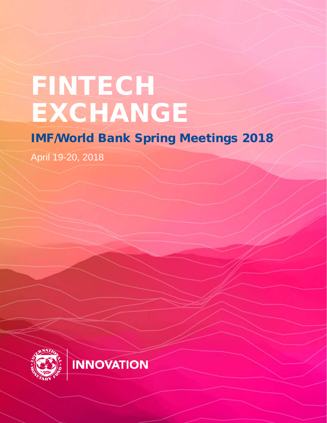# FINTECH EXCHANGE

**INNOVATION** 

IMF/World Bank Spring Meetings 2018

April 19-20, 2018

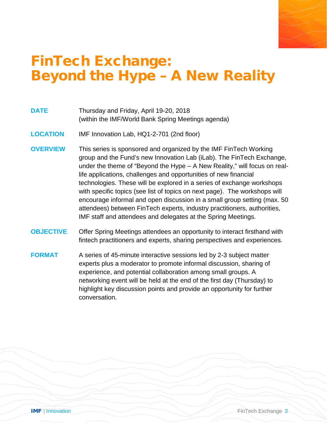### FinTech Exchange: Beyond the Hype – A New Reality

- **DATE** Thursday and Friday, April 19-20, 2018 (within the IMF/World Bank Spring Meetings agenda)
- **LOCATION** IMF Innovation Lab, HQ1-2-701 (2nd floor)
- **OVERVIEW** This series is sponsored and organized by the IMF FinTech Working group and the Fund's new Innovation Lab (iLab). The FinTech Exchange, under the theme of "Beyond the Hype – A New Reality," will focus on reallife applications, challenges and opportunities of new financial technologies. These will be explored in a series of exchange workshops with specific topics (see list of topics on next page). The workshops will encourage informal and open discussion in a small group setting (max. 50 attendees) between FinTech experts, industry practitioners, authorities, IMF staff and attendees and delegates at the Spring Meetings.
- **OBJECTIVE** Offer Spring Meetings attendees an opportunity to interact firsthand with fintech practitioners and experts, sharing perspectives and experiences.
- **FORMAT** A series of 45-minute interactive sessions led by 2-3 subject matter experts plus a moderator to promote informal discussion, sharing of experience, and potential collaboration among small groups. A networking event will be held at the end of the first day (Thursday) to highlight key discussion points and provide an opportunity for further conversation.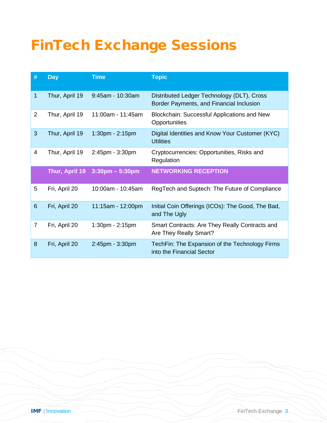### FinTech Exchange Sessions

| #              | <b>Day</b>     | <b>Time</b>        | <b>Topic</b>                                                                           |
|----------------|----------------|--------------------|----------------------------------------------------------------------------------------|
| 1              | Thur, April 19 | 9:45am - 10:30am   | Distributed Ledger Technology (DLT), Cross<br>Border Payments, and Financial Inclusion |
| $\overline{2}$ | Thur, April 19 | 11:00am - 11:45am  | <b>Blockchain: Successful Applications and New</b><br>Opportunities                    |
| 3              | Thur, April 19 | 1:30pm - 2:15pm    | Digital Identities and Know Your Customer (KYC)<br><b>Utilities</b>                    |
| 4              | Thur, April 19 | 2:45pm - 3:30pm    | Cryptocurrencies: Opportunities, Risks and<br>Regulation                               |
|                | Thur, April 19 | $3:30$ pm – 5:30pm | <b>NETWORKING RECEPTION</b>                                                            |
| 5              | Fri, April 20  | 10:00am - 10:45am  | RegTech and Suptech: The Future of Compliance                                          |
| 6              | Fri, April 20  | 11:15am - 12:00pm  | Initial Coin Offerings (ICOs): The Good, The Bad,<br>and The Ugly                      |
| $\overline{7}$ | Fri, April 20  | 1:30pm - 2:15pm    | Smart Contracts: Are They Really Contracts and<br>Are They Really Smart?               |
| 8              | Fri, April 20  | 2:45pm - 3:30pm    | TechFin: The Expansion of the Technology Firms<br>into the Financial Sector            |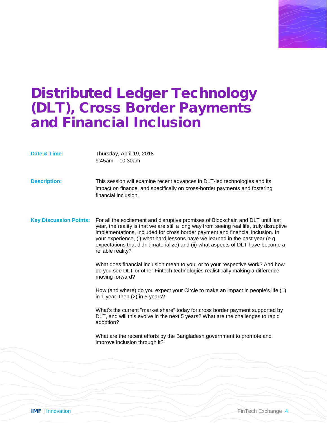### Distributed Ledger Technology (DLT), Cross Border Payments and Financial Inclusion

**Date & Time:** Thursday, April 19, 2018 9:45am – 10:30am **Description:** This session will examine recent advances in DLT-led technologies and its impact on finance, and specifically on cross-border payments and fostering financial inclusion. **Key Discussion Points:** For all the excitement and disruptive promises of Blockchain and DLT until last year, the reality is that we are still a long way from seeing real life, truly disruptive implementations, included for cross border payment and financial inclusion. In your experience, (i) what hard lessons have we learned in the past year (e.g. expectations that didn't materialize) and (ii) what aspects of DLT have become a reliable reality? What does financial inclusion mean to you, or to your respective work? And how do you see DLT or other Fintech technologies realistically making a difference moving forward? How (and where) do you expect your Circle to make an impact in people's life (1) in 1 year, then (2) in 5 years? What's the current "market share" today for cross border payment supported by DLT, and will this evolve in the next 5 years? What are the challenges to rapid adoption? What are the recent efforts by the Bangladesh government to promote and improve inclusion through it?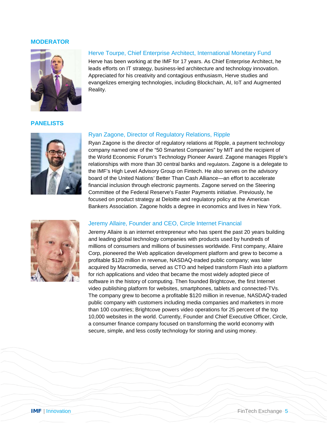

#### Herve Tourpe, Chief Enterprise Architect, International Monetary Fund

Herve has been working at the IMF for 17 years. As Chief Enterprise Architect, he leads efforts on IT strategy, business-led architecture and technology innovation. Appreciated for his creativity and contagious enthusiasm, Herve studies and evangelizes emerging technologies, including Blockchain, AI, IoT and Augmented Reality.

#### **PANELISTS**



#### Ryan Zagone, Director of Regulatory Relations, Ripple

Ryan Zagone is the director of regulatory relations at Ripple, a payment technology company named one of the "50 Smartest Companies" by MIT and the recipient of the World Economic Forum's Technology Pioneer Award. Zagone manages Ripple's relationships with more than 30 central banks and regulators. Zagone is a delegate to the IMF's High Level Advisory Group on Fintech. He also serves on the advisory board of the United Nations' Better Than Cash Alliance—an effort to accelerate financial inclusion through electronic payments. Zagone served on the Steering Committee of the Federal Reserve's Faster Payments initiative. Previously, he focused on product strategy at Deloitte and regulatory policy at the American Bankers Association. Zagone holds a degree in economics and lives in New York.



#### Jeremy Allaire, Founder and CEO, Circle Internet Financial

Jeremy Allaire is an internet entrepreneur who has spent the past 20 years building and leading global technology companies with products used by hundreds of millions of consumers and millions of businesses worldwide. First company, Allaire Corp, pioneered the Web application development platform and grew to become a profitable \$120 million in revenue, NASDAQ-traded public company; was later acquired by Macromedia, served as CTO and helped transform Flash into a platform for rich applications and video that became the most widely adopted piece of software in the history of computing. Then founded Brightcove, the first Internet video publishing platform for websites, smartphones, tablets and connected-TVs. The company grew to become a profitable \$120 million in revenue, NASDAQ-traded public company with customers including media companies and marketers in more than 100 countries; Brightcove powers video operations for 25 percent of the top 10,000 websites in the world. Currently, Founder and Chief Executive Officer, Circle, a consumer finance company focused on transforming the world economy with secure, simple, and less costly technology for storing and using money.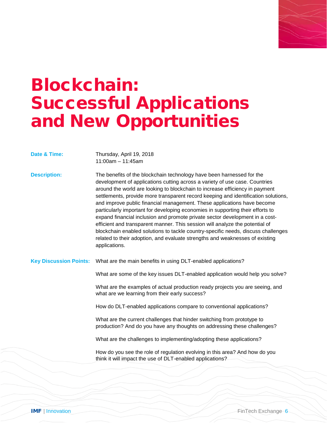

### Blockchain: Successful Applications and New Opportunities

**Date & Time:** Thursday, April 19, 2018 11:00am – 11:45am

**Description:** The benefits of the blockchain technology have been harnessed for the development of applications cutting across a variety of use case. Countries around the world are looking to blockchain to increase efficiency in payment settlements, provide more transparent record keeping and identification solutions, and improve public financial management. These applications have become particularly important for developing economies in supporting their efforts to expand financial inclusion and promote private sector development in a costefficient and transparent manner. This session will analyze the potential of blockchain enabled solutions to tackle country-specific needs, discuss challenges related to their adoption, and evaluate strengths and weaknesses of existing applications.

**Key Discussion Points:** What are the main benefits in using DLT-enabled applications?

What are some of the key issues DLT-enabled application would help you solve?

What are the examples of actual production ready projects you are seeing, and what are we learning from their early success?

How do DLT-enabled applications compare to conventional applications?

What are the current challenges that hinder switching from prototype to production? And do you have any thoughts on addressing these challenges?

What are the challenges to implementing/adopting these applications?

How do you see the role of regulation evolving in this area? And how do you think it will impact the use of DLT-enabled applications?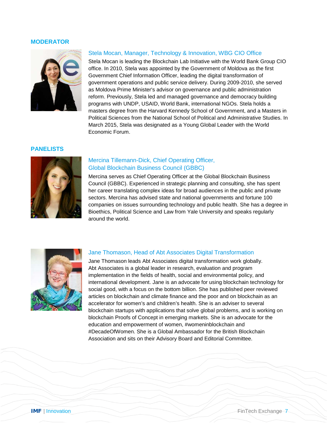

#### Stela Mocan, Manager, Technology & Innovation, WBG CIO Office

Stela Mocan is leading the Blockchain Lab Initiative with the World Bank Group CIO office. In 2010, Stela was appointed by the Government of Moldova as the first Government Chief Information Officer, leading the digital transformation of government operations and public service delivery. During 2009-2010, she served as Moldova Prime Minister's advisor on governance and public administration reform. Previously, Stela led and managed governance and democracy building programs with UNDP, USAID, World Bank, international NGOs. Stela holds a masters degree from the Harvard Kennedy School of Government, and a Masters in Political Sciences from the National School of Political and Administrative Studies. In March 2015, Stela was designated as a Young Global Leader with the World Economic Forum.

#### **PANELISTS**



#### Mercina Tillemann-Dick, Chief Operating Officer, Global Blockchain Business Council (GBBC)

Mercina serves as Chief Operating Officer at the Global Blockchain Business Council (GBBC). Experienced in strategic planning and consulting, she has spent her career translating complex ideas for broad audiences in the public and private sectors. Mercina has advised state and national governments and fortune 100 companies on issues surrounding technology and public health. She has a degree in Bioethics, Political Science and Law from Yale University and speaks regularly around the world.



#### Jane Thomason, Head of Abt Associates Digital Transformation

Jane Thomason leads Abt Associates digital transformation work globally. Abt Associates is a global leader in research, evaluation and program implementation in the fields of health, social and environmental policy, and international development. Jane is an advocate for using blockchain technology for social good, with a focus on the bottom billion. She has published peer reviewed articles on blockchain and climate finance and the poor and on blockchain as an accelerator for women's and children's health. She is an adviser to several blockchain startups with applications that solve global problems, and is working on blockchain Proofs of Concept in emerging markets. She is an advocate for the education and empowerment of women, #womeninblockchain and #DecadeOfWomen. She is a Global Ambassador for the British Blockchain Association and sits on their Advisory Board and Editorial Committee.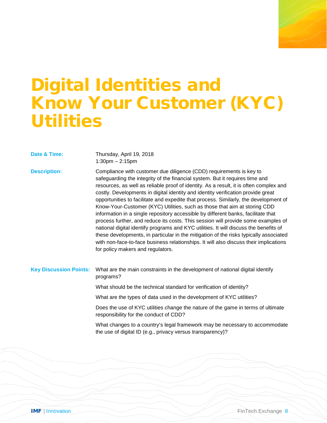## Digital Identities and Know Your Customer (KYC) **Utilities**

| Date & Time:                  | Thursday, April 19, 2018<br>$1:30$ pm $- 2:15$ pm                                                                                                                                                                                                                                                                                                                                                                                                                                                                                                                                                                                                                                                                                                                                                                                                                                                                                                                                                |
|-------------------------------|--------------------------------------------------------------------------------------------------------------------------------------------------------------------------------------------------------------------------------------------------------------------------------------------------------------------------------------------------------------------------------------------------------------------------------------------------------------------------------------------------------------------------------------------------------------------------------------------------------------------------------------------------------------------------------------------------------------------------------------------------------------------------------------------------------------------------------------------------------------------------------------------------------------------------------------------------------------------------------------------------|
| <b>Description:</b>           | Compliance with customer due diligence (CDD) requirements is key to<br>safeguarding the integrity of the financial system. But it requires time and<br>resources, as well as reliable proof of identity. As a result, it is often complex and<br>costly. Developments in digital identity and identity verification provide great<br>opportunities to facilitate and expedite that process. Similarly, the development of<br>Know-Your-Customer (KYC) Utilities, such as those that aim at storing CDD<br>information in a single repository accessible by different banks, facilitate that<br>process further, and reduce its costs. This session will provide some examples of<br>national digital identify programs and KYC utilities. It will discuss the benefits of<br>these developments, in particular in the mitigation of the risks typically associated<br>with non-face-to-face business relationships. It will also discuss their implications<br>for policy makers and regulators. |
| <b>Key Discussion Points:</b> | What are the main constraints in the development of national digital identify<br>programs?                                                                                                                                                                                                                                                                                                                                                                                                                                                                                                                                                                                                                                                                                                                                                                                                                                                                                                       |
|                               | What should be the technical standard for verification of identity?                                                                                                                                                                                                                                                                                                                                                                                                                                                                                                                                                                                                                                                                                                                                                                                                                                                                                                                              |
|                               | What are the types of data used in the development of KYC utilities?                                                                                                                                                                                                                                                                                                                                                                                                                                                                                                                                                                                                                                                                                                                                                                                                                                                                                                                             |
|                               | Does the use of KYC utilities change the nature of the game in terms of ultimate<br>responsibility for the conduct of CDD?                                                                                                                                                                                                                                                                                                                                                                                                                                                                                                                                                                                                                                                                                                                                                                                                                                                                       |
|                               | What changes to a country's legal framework may be necessary to accommodate<br>the use of digital ID (e.g., privacy versus transparency)?                                                                                                                                                                                                                                                                                                                                                                                                                                                                                                                                                                                                                                                                                                                                                                                                                                                        |
|                               |                                                                                                                                                                                                                                                                                                                                                                                                                                                                                                                                                                                                                                                                                                                                                                                                                                                                                                                                                                                                  |
|                               |                                                                                                                                                                                                                                                                                                                                                                                                                                                                                                                                                                                                                                                                                                                                                                                                                                                                                                                                                                                                  |
|                               |                                                                                                                                                                                                                                                                                                                                                                                                                                                                                                                                                                                                                                                                                                                                                                                                                                                                                                                                                                                                  |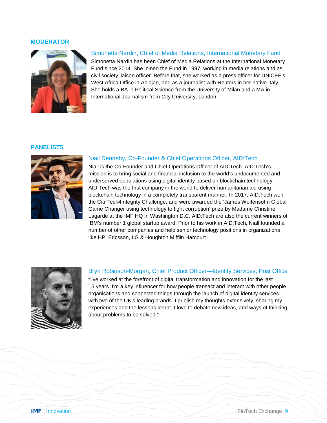

#### Simonetta Nardin, Chief of Media Relations, International Monetary Fund

Simonetta Nardin has been Chief of Media Relations at the International Monetary Fund since 2014. She joined the Fund in 1997, working in media relations and as civil society liaison officer. Before that, she worked as a press officer for UNICEF's West Africa Office in Abidjan, and as a journalist with Reuters in her native Italy. She holds a BA in Political Science from the University of Milan and a MA in International Journalism from City University, London.

#### **PANELISTS**



#### Niall Dennehy, Co-Founder & Chief Operations Officer, AID:Tech

Niall is the Co-Founder and Chief Operations Officer of AID:Tech. AID:Tech's mission is to bring social and financial inclusion to the world's undocumented and underserved populations using digital identity based on blockchain technology. AID:Tech was the first company in the world to deliver humanitarian aid using blockchain technology in a completely transparent manner. In 2017, AID:Tech won the Citi Tech4Integrity Challenge, and were awarded the 'James Wolfensohn Global Game Changer using technology to fight corruption' prize by Madame Christine Lagarde at the IMF HQ in Washington D.C. AID:Tech are also the current winners of IBM's number 1 global startup award. Prior to his work in AID:Tech, Niall founded a number of other companies and help senior technology positions in organizations like HP, Ericsson, LG & Houghton Mifflin Harcourt.



#### Bryn Robinson-Morgan, Chief Product Officer—Identity Services, Post Office

"I've worked at the forefront of digital transformation and innovation for the last 15 years. I'm a key influencer for how people transact and interact with other people, organisations and connected things through the launch of digital identity services with two of the UK's leading brands. I publish my thoughts extensively, sharing my experiences and the lessons learnt. I love to debate new ideas, and ways of thinking about problems to be solved."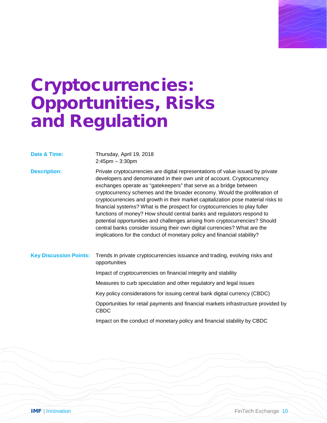

## Cryptocurrencies: Opportunities, Risks and Regulation

| Date & Time:                  | Thursday, April 19, 2018<br>$2:45$ pm $-3:30$ pm                                                                                                                                                                                                                                                                                                                                                                                                                                                                                                                                                                                                                                                                                                                                                     |
|-------------------------------|------------------------------------------------------------------------------------------------------------------------------------------------------------------------------------------------------------------------------------------------------------------------------------------------------------------------------------------------------------------------------------------------------------------------------------------------------------------------------------------------------------------------------------------------------------------------------------------------------------------------------------------------------------------------------------------------------------------------------------------------------------------------------------------------------|
| <b>Description:</b>           | Private cryptocurrencies are digital representations of value issued by private<br>developers and denominated in their own unit of account. Cryptocurrency<br>exchanges operate as "gatekeepers" that serve as a bridge between<br>cryptocurrency schemes and the broader economy. Would the proliferation of<br>cryptocurrencies and growth in their market capitalization pose material risks to<br>financial systems? What is the prospect for cryptocurrencies to play fuller<br>functions of money? How should central banks and regulators respond to<br>potential opportunities and challenges arising from cryptocurrencies? Should<br>central banks consider issuing their own digital currencies? What are the<br>implications for the conduct of monetary policy and financial stability? |
| <b>Key Discussion Points:</b> | Trends in private cryptocurrencies issuance and trading, evolving risks and<br>opportunities                                                                                                                                                                                                                                                                                                                                                                                                                                                                                                                                                                                                                                                                                                         |
|                               | Impact of cryptocurrencies on financial integrity and stability                                                                                                                                                                                                                                                                                                                                                                                                                                                                                                                                                                                                                                                                                                                                      |
|                               | Measures to curb speculation and other regulatory and legal issues                                                                                                                                                                                                                                                                                                                                                                                                                                                                                                                                                                                                                                                                                                                                   |
|                               | Key policy considerations for issuing central bank digital currency (CBDC)                                                                                                                                                                                                                                                                                                                                                                                                                                                                                                                                                                                                                                                                                                                           |
|                               | Opportunities for retail payments and financial markets infrastructure provided by<br><b>CBDC</b>                                                                                                                                                                                                                                                                                                                                                                                                                                                                                                                                                                                                                                                                                                    |
|                               | Impact on the conduct of monetary policy and financial stability by CBDC                                                                                                                                                                                                                                                                                                                                                                                                                                                                                                                                                                                                                                                                                                                             |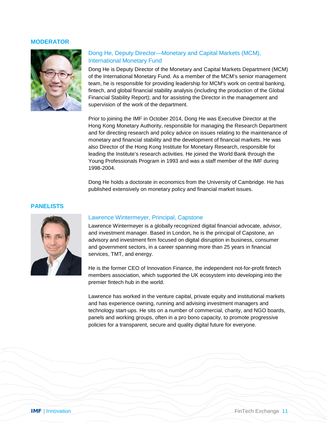

### Dong He, Deputy Director—Monetary and Capital Markets (MCM), International Monetary Fund

Dong He is Deputy Director of the Monetary and Capital Markets Department (MCM) of the International Monetary Fund. As a member of the MCM's senior management team, he is responsible for providing leadership for MCM's work on central banking, fintech, and global financial stability analysis (including the production of the Global Financial Stability Report); and for assisting the Director in the management and supervision of the work of the department.

Prior to joining the IMF in October 2014, Dong He was Executive Director at the Hong Kong Monetary Authority, responsible for managing the Research Department and for directing research and policy advice on issues relating to the maintenance of monetary and financial stability and the development of financial markets. He was also Director of the Hong Kong Institute for Monetary Research, responsible for leading the Institute's research activities. He joined the World Bank through the Young Professionals Program in 1993 and was a staff member of the IMF during 1998-2004.

Dong He holds a doctorate in economics from the University of Cambridge. He has published extensively on monetary policy and financial market issues.

#### **PANELISTS**



#### Lawrence Wintermeyer, Principal, Capstone

Lawrence Wintermeyer is a globally recognized digital financial advocate, advisor, and investment manager. Based in London, he is the principal of Capstone, an advisory and investment firm focused on digital disruption in business, consumer and government sectors, in a career spanning more than 25 years in financial services, TMT, and energy.

He is the former CEO of Innovation Finance, the independent not-for-profit fintech members association, which supported the UK ecosystem into developing into the premier fintech hub in the world.

Lawrence has worked in the venture capital, private equity and institutional markets and has experience owning, running and advising investment managers and technology start-ups. He sits on a number of commercial, charity, and NGO boards, panels and working groups, often in a pro bono capacity, to promote progressive policies for a transparent, secure and quality digital future for everyone.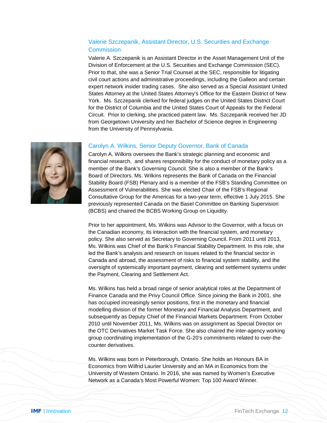#### Valerie Szczepanik, Assistant Director, U.S. Securities and Exchange **Commission**

Valerie A. Szczepanik is an Assistant Director in the Asset Management Unit of the Division of Enforcement at the U.S. Securities and Exchange Commission (SEC). Prior to that, she was a Senior Trial Counsel at the SEC, responsible for litigating civil court actions and administrative proceedings, including the Galleon and certain expert network insider trading cases. She also served as a Special Assistant United States Attorney at the United States Attorney's Office for the Eastern District of New York. Ms. Szczepanik clerked for federal judges on the United States District Court for the District of Columbia and the United States Court of Appeals for the Federal Circuit. Prior to clerking, she practiced patent law. Ms. Szczepanik received her JD from Georgetown University and her Bachelor of Science degree in Engineering from the University of Pennsylvania.



Carolyn A. Wilkins oversees the Bank's strategic planning and economic and financial research, and shares responsibility for the conduct of monetary policy as a member of the Bank's Governing Council. She is also a member of the Bank's Board of Directors. Ms. Wilkins represents the Bank of Canada on the Financial Stability Board (FSB) Plenary and is a member of the FSB's Standing Committee on Assessment of Vulnerabilities. She was elected Chair of the FSB's Regional Consultative Group for the Americas for a two-year term, effective 1 July 2015. She previously represented Canada on the Basel Committee on Banking Supervision (BCBS) and chaired the BCBS Working Group on Liquidity.

Prior to her appointment, Ms. Wilkins was Advisor to the Governor, with a focus on the Canadian economy, its interaction with the financial system, and monetary policy. She also served as Secretary to Governing Council. From 2011 until 2013, Ms. Wilkins was Chief of the Bank's Financial Stability Department. In this role, she led the Bank's analysis and research on issues related to the financial sector in Canada and abroad, the assessment of risks to financial system stability, and the oversight of systemically important payment, clearing and settlement systems under the Payment, Clearing and Settlement Act.

Ms. Wilkins has held a broad range of senior analytical roles at the Department of Finance Canada and the Privy Council Office. Since joining the Bank in 2001, she has occupied increasingly senior positions, first in the monetary and financial modelling division of the former Monetary and Financial Analysis Department, and subsequently as Deputy Chief of the Financial Markets Department. From October 2010 until November 2011, Ms. Wilkins was on assignment as Special Director on the OTC Derivatives Market Task Force. She also chaired the inter-agency working group coordinating implementation of the G-20's commitments related to over-thecounter derivatives.

Ms. Wilkins was born in Peterborough, Ontario. She holds an Honours BA in Economics from Wilfrid Laurier University and an MA in Economics from the University of Western Ontario. In 2016, she was named by Women's Executive Network as a Canada's Most Powerful Women: Top 100 Award Winner.

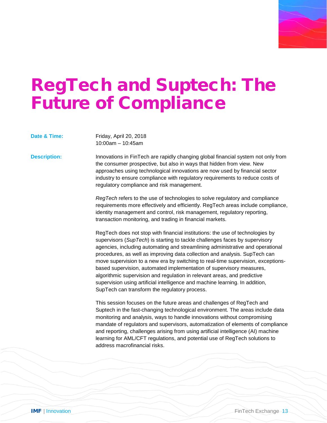

### RegTech and Suptech: The Future of Compliance

| Date & Time:        | Friday, April 20, 2018<br>$10:00am - 10:45am$                                                                                                                                                                                                                                                                                                                                                                                                                                                                                                                                                                                                                                                         |
|---------------------|-------------------------------------------------------------------------------------------------------------------------------------------------------------------------------------------------------------------------------------------------------------------------------------------------------------------------------------------------------------------------------------------------------------------------------------------------------------------------------------------------------------------------------------------------------------------------------------------------------------------------------------------------------------------------------------------------------|
| <b>Description:</b> | Innovations in FinTech are rapidly changing global financial system not only from<br>the consumer prospective, but also in ways that hidden from view. New<br>approaches using technological innovations are now used by financial sector<br>industry to ensure compliance with regulatory requirements to reduce costs of<br>regulatory compliance and risk management.                                                                                                                                                                                                                                                                                                                              |
|                     | RegTech refers to the use of technologies to solve regulatory and compliance<br>requirements more effectively and efficiently. RegTech areas include compliance,<br>identity management and control, risk management, regulatory reporting,<br>transaction monitoring, and trading in financial markets.                                                                                                                                                                                                                                                                                                                                                                                              |
|                     | RegTech does not stop with financial institutions: the use of technologies by<br>supervisors (SupTech) is starting to tackle challenges faces by supervisory<br>agencies, including automating and streamlining administrative and operational<br>procedures, as well as improving data collection and analysis. SupTech can<br>move supervision to a new era by switching to real-time supervision, exceptions-<br>based supervision, automated implementation of supervisory measures,<br>algorithmic supervision and regulation in relevant areas, and predictive<br>supervision using artificial intelligence and machine learning. In addition,<br>SupTech can transform the regulatory process. |

This session focuses on the future areas and challenges of RegTech and Suptech in the fast-changing technological environment. The areas include data monitoring and analysis, ways to handle innovations without compromising mandate of regulators and supervisors, automatization of elements of compliance and reporting, challenges arising from using artificial intelligence (AI) machine learning for AML/CFT regulations, and potential use of RegTech solutions to address macrofinancial risks.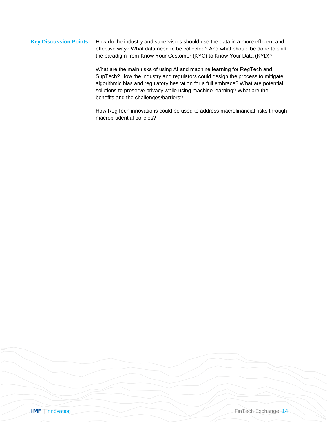#### **Key Discussion Points:** How do the industry and supervisors should use the data in a more efficient and effective way? What data need to be collected? And what should be done to shift the paradigm from Know Your Customer (KYC) to Know Your Data (KYD)?

What are the main risks of using AI and machine learning for RegTech and SupTech? How the industry and regulators could design the process to mitigate algorithmic bias and regulatory hesitation for a full embrace? What are potential solutions to preserve privacy while using machine learning? What are the benefits and the challenges/barriers?

How RegTech innovations could be used to address macrofinancial risks through macroprudential policies?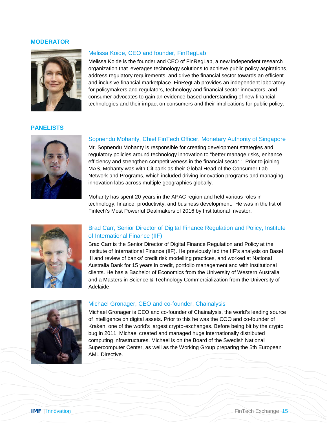

#### Melissa Koide, CEO and founder, FinRegLab

Melissa Koide is the founder and CEO of FinRegLab, a new independent research organization that leverages technology solutions to achieve public policy aspirations, address regulatory requirements, and drive the financial sector towards an efficient and inclusive financial marketplace. FinRegLab provides an independent laboratory for policymakers and regulators, technology and financial sector innovators, and consumer advocates to gain an evidence-based understanding of new financial technologies and their impact on consumers and their implications for public policy.

#### **PANELISTS**



#### Sopnendu Mohanty, Chief FinTech Officer, Monetary Authority of Singapore

Mr. Sopnendu Mohanty is responsible for creating development strategies and regulatory policies around technology innovation to "better manage risks, enhance efficiency and strengthen competitiveness in the financial sector." Prior to joining MAS, Mohanty was with Citibank as their Global Head of the Consumer Lab Network and Programs, which included driving innovation programs and managing innovation labs across multiple geographies globally.

Mohanty has spent 20 years in the APAC region and held various roles in technology, finance, productivity, and business development. He was in the list of Fintech's Most Powerful Dealmakers of 2016 by Institutional Investor.



#### Brad Carr, Senior Director of Digital Finance Regulation and Policy, Institute of International Finance (IIF)

Brad Carr is the Senior Director of Digital Finance Regulation and Policy at the Institute of International Finance (IIF). He previously led the IIF's analysis on Basel III and review of banks' credit risk modelling practices, and worked at National Australia Bank for 15 years in credit, portfolio management and with institutional clients. He has a Bachelor of Economics from the University of Western Australia and a Masters in Science & Technology Commercialization from the University of Adelaide.



#### Michael Gronager, CEO and co-founder, Chainalysis

Michael Gronager is CEO and co-founder of Chainalysis, the world's leading source of intelligence on digital assets. Prior to this he was the COO and co-founder of Kraken, one of the world's largest crypto-exchanges. Before being bit by the crypto bug in 2011, Michael created and managed huge internationally distributed computing infrastructures. Michael is on the Board of the Swedish National Supercomputer Center, as well as the Working Group preparing the 5th European AML Directive.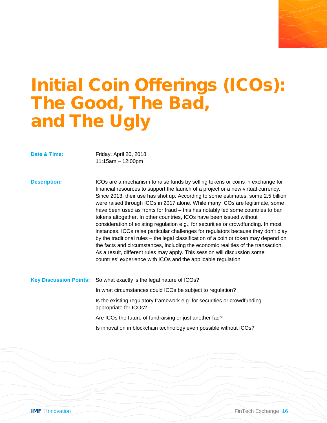# Initial Coin Offerings (ICOs): The Good, The Bad, and The Ugly

**Date & Time:** Friday, April 20, 2018 11:15am – 12:00pm

**Description:** ICOs are a mechanism to raise funds by selling tokens or coins in exchange for financial resources to support the launch of a project or a new virtual currency. Since 2013, their use has shot up. According to some estimates, some 2.5 billion were raised through ICOs in 2017 alone. While many ICOs are legitimate, some have been used as fronts for fraud – this has notably led some countries to ban tokens altogether. In other countries, ICOs have been issued without consideration of existing regulation e.g., for securities or crowdfunding. In most instances, ICOs raise particular challenges for regulators because they don't play by the traditional rules – the legal classification of a coin or token may depend on the facts and circumstances, including the economic realities of the transaction. As a result, different rules may apply. This session will discussion some countries' experience with ICOs and the applicable regulation.

**Key Discussion Points:** So what exactly is the legal nature of ICOs?

In what circumstances could ICOs be subject to regulation?

Is the existing regulatory framework e.g. for securities or crowdfunding appropriate for ICOs?

Are ICOs the future of fundraising or just another fad?

Is innovation in blockchain technology even possible without ICOs?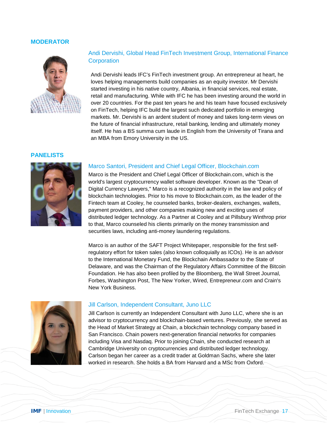

#### Andi Dervishi, Global Head FinTech Investment Group, International Finance **Corporation**

Andi Dervishi leads IFC's FinTech investment group. An entrepreneur at heart, he loves helping managements build companies as an equity investor. Mr Dervishi started investing in his native country, Albania, in financial services, real estate, retail and manufacturing. While with IFC he has been investing around the world in over 20 countries. For the past ten years he and his team have focused exclusively on FinTech, helping IFC build the largest such dedicated portfolio in emerging markets. Mr. Dervishi is an ardent student of money and takes long-term views on the future of financial infrastructure, retail banking, lending and ultimately money itself. He has a BS summa cum laude in English from the University of Tirana and an MBA from Emory University in the US.

#### **PANELISTS**



#### Marco Santori, President and Chief Legal Officer, Blockchain.com

Marco is the President and Chief Legal Officer of Blockchain.com, which is the world's largest cryptocurrency wallet software developer. Known as the "Dean of Digital Currency Lawyers," Marco is a recognized authority in the law and policy of blockchain technologies. Prior to his move to Blockchain.com, as the leader of the Fintech team at Cooley, he counseled banks, broker-dealers, exchanges, wallets, payment providers, and other companies making new and exciting uses of distributed ledger technology. As a Partner at Cooley and at Pillsbury Winthrop prior to that, Marco counseled his clients primarily on the money transmission and securities laws, including anti-money laundering regulations.

Marco is an author of the SAFT Project Whitepaper, responsible for the first selfregulatory effort for token sales (also known colloquially as ICOs). He is an advisor to the International Monetary Fund, the Blockchain Ambassador to the State of Delaware, and was the Chairman of the Regulatory Affairs Committee of the Bitcoin Foundation. He has also been profiled by the Bloomberg, the Wall Street Journal, Forbes, Washington Post, The New Yorker, Wired, Entrepreneur.com and Crain's New York Business.



#### Jill Carlson, Independent Consultant, Juno LLC

Jill Carlson is currently an Independent Consultant with Juno LLC, where she is an advisor to cryptocurrency and blockchain-based ventures. Previously, she served as the Head of Market Strategy at Chain, a blockchain technology company based in San Francisco. Chain powers next-generation financial networks for companies including Visa and Nasdaq. Prior to joining Chain, she conducted research at Cambridge University on cryptocurrencies and distributed ledger technology. Carlson began her career as a credit trader at Goldman Sachs, where she later worked in research. She holds a BA from Harvard and a MSc from Oxford.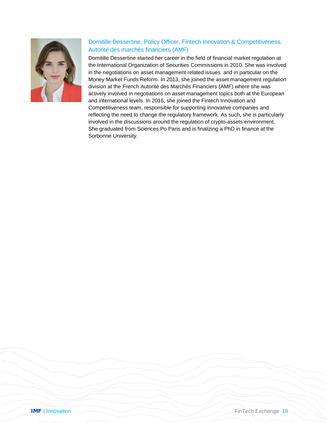

### Domitille Dessertine, Policy Officer, Fintech Innovation & Competitiveness, Autorité des marchés financiers (AMF)

Domitille Dessertine started her career in the field of financial market regulation at the International Organization of Securities Commissions in 2010. She was involved in the negotiations on asset management related issues and in particular on the Money Market Funds Reform. In 2013, she joined the asset management regulation division at the French Autorité des Marchés Financiers (AMF) where she was actively involved in negotiations on asset management topics both at the European and international levels. In 2016, she joined the Fintech Innovation and Competitiveness team, responsible for supporting innovative companies and reflecting the need to change the regulatory framework. As such, she is particularly involved in the discussions around the regulation of crypto-assets environment. She graduated from Sciences Po Paris and is finalizing a PhD in finance at the Sorbonne University.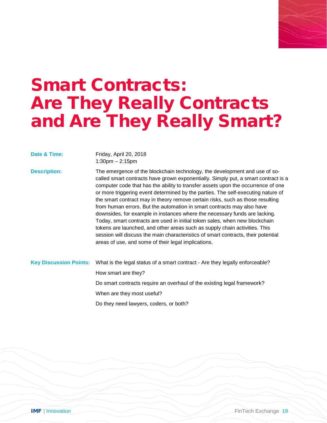### Smart Contracts: Are They Really Contracts and Are They Really Smart?

**Date & Time:** Friday, April 20, 2018 1:30pm – 2:15pm

**Description:** The emergence of the blockchain technology, the development and use of socalled smart contracts have grown exponentially. Simply put, a smart contract is a computer code that has the ability to transfer assets upon the occurrence of one or more triggering event determined by the parties. The self-executing nature of the smart contract may in theory remove certain risks, such as those resulting from human errors. But the automation in smart contracts may also have downsides, for example in instances where the necessary funds are lacking. Today, smart contracts are used in initial token sales, when new blockchain tokens are launched, and other areas such as supply chain activities. This session will discuss the main characteristics of smart contracts, their potential areas of use, and some of their legal implications.

**Key Discussion Points:** What is the legal status of a smart contract - Are they legally enforceable? How smart are they? Do smart contracts require an overhaul of the existing legal framework? When are they most useful? Do they need lawyers, coders, or both?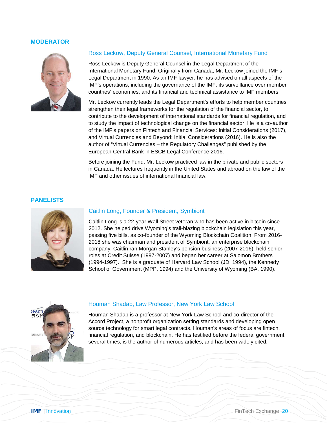

#### Ross Leckow, Deputy General Counsel, International Monetary Fund

Ross Leckow is Deputy General Counsel in the Legal Department of the International Monetary Fund. Originally from Canada, Mr. Leckow joined the IMF's Legal Department in 1990. As an IMF lawyer, he has advised on all aspects of the IMF's operations, including the governance of the IMF, its surveillance over member countries' economies, and its financial and technical assistance to IMF members.

Mr. Leckow currently leads the Legal Department's efforts to help member countries strengthen their legal frameworks for the regulation of the financial sector, to contribute to the development of international standards for financial regulation, and to study the impact of technological change on the financial sector. He is a co-author of the IMF's papers on Fintech and Financial Services: Initial Considerations (2017), and Virtual Currencies and Beyond: Initial Considerations (2016). He is also the author of "Virtual Currencies – the Regulatory Challenges" published by the European Central Bank in ESCB Legal Conference 2016.

Before joining the Fund, Mr. Leckow practiced law in the private and public sectors in Canada. He lectures frequently in the United States and abroad on the law of the IMF and other issues of international financial law.

#### **PANELISTS**



#### Caitlin Long, Founder & President, Symbiont

Caitlin Long is a 22-year Wall Street veteran who has been active in bitcoin since 2012. She helped drive Wyoming's trail-blazing blockchain legislation this year, passing five bills, as co-founder of the Wyoming Blockchain Coalition. From 2016- 2018 she was chairman and president of Symbiont, an enterprise blockchain company. Caitlin ran Morgan Stanley's pension business (2007-2016), held senior roles at Credit Suisse (1997-2007) and began her career at Salomon Brothers (1994-1997). She is a graduate of Harvard Law School (JD, 1994), the Kennedy School of Government (MPP, 1994) and the University of Wyoming (BA, 1990).



#### Houman Shadab, Law Professor, New York Law School

Houman Shadab is a professor at New York Law School and co-director of the Accord Project, a nonprofit organization setting standards and developing open source technology for smart legal contracts. Houman's areas of focus are fintech, financial regulation, and blockchain. He has testified before the federal government several times, is the author of numerous articles, and has been widely cited.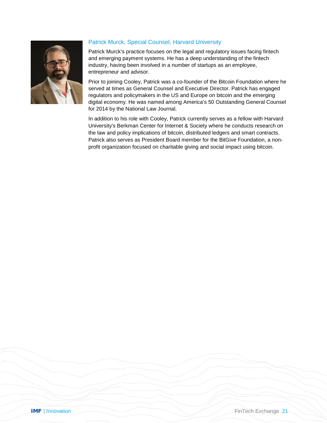

### Patrick Murck, Special Counsel, Harvard University

Patrick Murck's practice focuses on the legal and regulatory issues facing fintech and emerging payment systems. He has a deep understanding of the fintech industry, having been involved in a number of startups as an employee, entrepreneur and advisor.

Prior to joining Cooley, Patrick was a co-founder of the Bitcoin Foundation where he served at times as General Counsel and Executive Director. Patrick has engaged regulators and policymakers in the US and Europe on bitcoin and the emerging digital economy. He was named among America's 50 Outstanding General Counsel for 2014 by the National Law Journal.

In addition to his role with Cooley, Patrick currently serves as a fellow with Harvard University's Berkman Center for Internet & Society where he conducts research on the law and policy implications of bitcoin, distributed ledgers and smart contracts. Patrick also serves as President Board member for the BitGive Foundation, a nonprofit organization focused on charitable giving and social impact using bitcoin.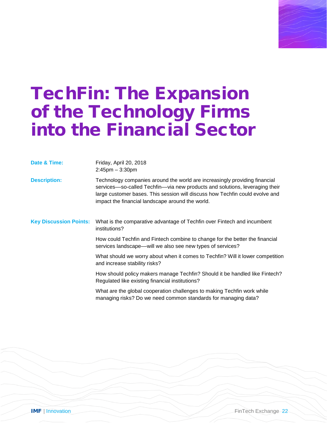## TechFin: The Expansion of the Technology Firms into the Financial Sector

**Date & Time:** Friday, April 20, 2018 2:45pm – 3:30pm

**Description:** Technology companies around the world are increasingly providing financial services––so-called Techfin––via new products and solutions, leveraging their large customer bases. This session will discuss how Techfin could evolve and impact the financial landscape around the world.

**Key Discussion Points:** What is the comparative advantage of Techfin over Fintech and incumbent institutions?

> How could Techfin and Fintech combine to change for the better the financial services landscape—will we also see new types of services?

What should we worry about when it comes to Techfin? Will it lower competition and increase stability risks?

How should policy makers manage Techfin? Should it be handled like Fintech? Regulated like existing financial institutions?

What are the global cooperation challenges to making Techfin work while managing risks? Do we need common standards for managing data?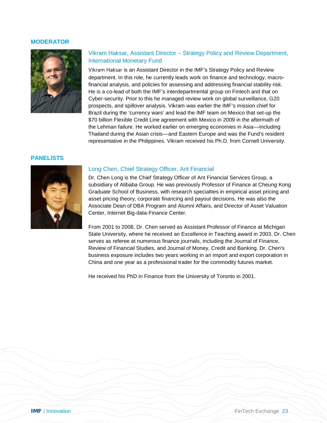

#### Vikram Haksar, Assistant Director – Strategy Policy and Review Department, International Monetary Fund

Vikram Haksar is an Assistant Director in the IMF's Strategy Policy and Review department. In this role, he currently leads work on finance and technology, macrofinancial analysis, and policies for assessing and addressing financial stability risk. He is a co-lead of both the IMF's interdepartmental group on Fintech and that on Cyber-security. Prior to this he managed review work on global surveillance, G20 prospects, and spillover analysis. Vikram was earlier the IMF's mission chief for Brazil during the 'currency wars' and lead the IMF team on Mexico that set-up the \$70 billion Flexible Credit Line agreement with Mexico in 2009 in the aftermath of the Lehman failure. He worked earlier on emerging economies in Asia––including Thailand during the Asian crisis––and Eastern Europe and was the Fund's resident representative in the Philippines. Vikram received his Ph.D. from Cornell University.

#### **PANELISTS**



#### Long Chen, Chief Strategy Officer, Ant Financial

Dr. Chen Long is the Chief Strategy Officer of Ant Financial Services Group, a subsidiary of Alibaba Group. He was previously Professor of Finance at Cheung Kong Graduate School of Business, with research specialties in empirical asset pricing and asset pricing theory, corporate financing and payout decisions. He was also the Associate Dean of DBA Program and Alumni Affairs, and Director of Asset Valuation Center, Internet Big-data-Finance Center.

From 2001 to 2008, Dr. Chen served as Assistant Professor of Finance at Michigan State University, where he received an Excellence in Teaching award in 2003. Dr. Chen serves as referee at numerous finance journals, including the Journal of Finance, Review of Financial Studies, and Journal of Money, Credit and Banking. Dr. Chen's business exposure includes two years working in an import and export corporation in China and one year as a professional trader for the commodity futures market.

He received his PhD in Finance from the University of Toronto in 2001.